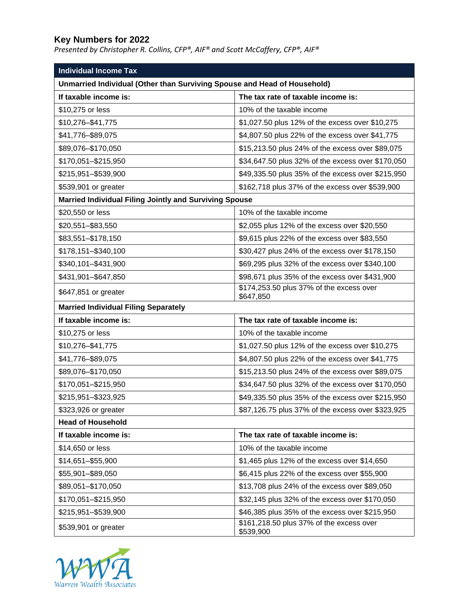## **Key Numbers for 2022**

*Presented by Christopher R. Collins, CFP®, AIF® and Scott McCaffery, CFP®, AIF®*

| <b>Individual Income Tax</b>                                             |                                                       |  |
|--------------------------------------------------------------------------|-------------------------------------------------------|--|
| Unmarried Individual (Other than Surviving Spouse and Head of Household) |                                                       |  |
| If taxable income is:                                                    | The tax rate of taxable income is:                    |  |
| \$10,275 or less                                                         | 10% of the taxable income                             |  |
| \$10,276-\$41,775                                                        | \$1,027.50 plus 12% of the excess over \$10,275       |  |
| \$41,776-\$89,075                                                        | \$4,807.50 plus 22% of the excess over \$41,775       |  |
| \$89,076-\$170,050                                                       | \$15,213.50 plus 24% of the excess over \$89,075      |  |
| \$170,051-\$215,950                                                      | \$34,647.50 plus 32% of the excess over \$170,050     |  |
| \$215,951-\$539,900                                                      | \$49,335.50 plus 35% of the excess over \$215,950     |  |
| \$539,901 or greater                                                     | \$162,718 plus 37% of the excess over \$539,900       |  |
| <b>Married Individual Filing Jointly and Surviving Spouse</b>            |                                                       |  |
| \$20,550 or less                                                         | 10% of the taxable income                             |  |
| \$20,551-\$83,550                                                        | \$2,055 plus 12% of the excess over \$20,550          |  |
| \$83,551–\$178,150                                                       | \$9,615 plus 22% of the excess over \$83,550          |  |
| \$178,151-\$340,100                                                      | \$30,427 plus 24% of the excess over \$178,150        |  |
| \$340,101-\$431,900                                                      | \$69,295 plus 32% of the excess over \$340,100        |  |
| \$431,901-\$647,850                                                      | \$98,671 plus 35% of the excess over \$431,900        |  |
| \$647,851 or greater                                                     | \$174,253.50 plus 37% of the excess over<br>\$647,850 |  |
| <b>Married Individual Filing Separately</b>                              |                                                       |  |
| If taxable income is:                                                    | The tax rate of taxable income is:                    |  |
| \$10,275 or less                                                         | 10% of the taxable income                             |  |
| \$10,276–\$41,775                                                        | \$1,027.50 plus 12% of the excess over \$10,275       |  |
| \$41,776-\$89,075                                                        | \$4,807.50 plus 22% of the excess over \$41,775       |  |
| \$89,076-\$170,050                                                       | \$15,213.50 plus 24% of the excess over \$89,075      |  |
| \$170,051-\$215,950                                                      | \$34,647.50 plus 32% of the excess over \$170,050     |  |
| \$215,951-\$323,925                                                      | \$49,335.50 plus 35% of the excess over \$215,950     |  |
| \$323,926 or greater                                                     | \$87,126.75 plus 37% of the excess over \$323,925     |  |
| <b>Head of Household</b>                                                 |                                                       |  |
| If taxable income is:                                                    | The tax rate of taxable income is:                    |  |
| \$14,650 or less                                                         | 10% of the taxable income                             |  |
| \$14,651-\$55,900                                                        | \$1,465 plus 12% of the excess over \$14,650          |  |
| \$55,901-\$89,050                                                        | \$6,415 plus 22% of the excess over \$55,900          |  |
| \$89,051-\$170,050                                                       | \$13,708 plus 24% of the excess over \$89,050         |  |
| \$170,051-\$215,950                                                      | \$32,145 plus 32% of the excess over \$170,050        |  |
| \$215,951-\$539,900                                                      | \$46,385 plus 35% of the excess over \$215,950        |  |
| \$539,901 or greater                                                     | \$161,218.50 plus 37% of the excess over<br>\$539,900 |  |

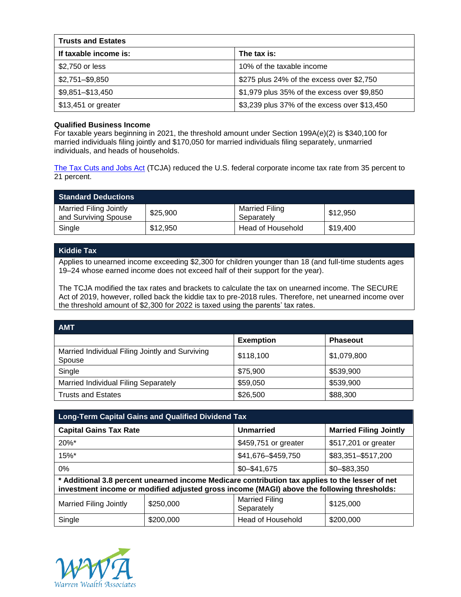| <b>Trusts and Estates</b> |                                              |
|---------------------------|----------------------------------------------|
| If taxable income is:     | The tax is:                                  |
| \$2,750 or less           | 10% of the taxable income                    |
| $$2,751 - $9,850$         | \$275 plus 24% of the excess over \$2,750    |
| \$9,851-\$13,450          | \$1,979 plus 35% of the excess over \$9,850  |
| \$13,451 or greater       | \$3,239 plus 37% of the excess over \$13,450 |

## **Qualified Business Income**

For taxable years beginning in 2021, the threshold amount under Section 199A(e)(2) is \$340,100 for married individuals filing jointly and \$170,050 for married individuals filing separately, unmarried individuals, and heads of households.

[The Tax Cuts and Jobs Act](https://taxfoundation.org/final-tax-cuts-and-jobs-act-details-analysis/) (TCJA) reduced the U.S. federal corporate income tax rate from 35 percent to 21 percent.

| <b>Standard Deductions</b>                     |          |                                     |          |
|------------------------------------------------|----------|-------------------------------------|----------|
| Married Filing Jointly<br>and Surviving Spouse | \$25,900 | <b>Married Filing</b><br>Separately | \$12,950 |
| Single                                         | \$12,950 | Head of Household                   | \$19.400 |

## **Kiddie Tax**

Applies to unearned income exceeding \$2,300 for children younger than 18 (and full-time students ages 19–24 whose earned income does not exceed half of their support for the year).

The TCJA modified the tax rates and brackets to calculate the tax on unearned income. The SECURE Act of 2019, however, rolled back the kiddie tax to pre-2018 rules. Therefore, net unearned income over the threshold amount of \$2,300 for 2022 is taxed using the parents' tax rates.

| <b>AMT</b>                                                |                  |                 |
|-----------------------------------------------------------|------------------|-----------------|
|                                                           | <b>Exemption</b> | <b>Phaseout</b> |
| Married Individual Filing Jointly and Surviving<br>Spouse | \$118,100        | \$1,079,800     |
| Single                                                    | \$75,900         | \$539,900       |
| Married Individual Filing Separately                      | \$59,050         | \$539,900       |
| <b>Trusts and Estates</b>                                 | \$26,500         | \$88,300        |

| <b>Long-Term Capital Gains and Qualified Dividend Tax</b>                                                                                                                                   |           |                                     |                               |
|---------------------------------------------------------------------------------------------------------------------------------------------------------------------------------------------|-----------|-------------------------------------|-------------------------------|
| <b>Capital Gains Tax Rate</b>                                                                                                                                                               |           | Unmarried                           | <b>Married Filing Jointly</b> |
| $20\%$ *                                                                                                                                                                                    |           | \$459,751 or greater                | \$517,201 or greater          |
| $15\%$ *                                                                                                                                                                                    |           | \$41,676-\$459,750                  | \$83,351-\$517,200            |
| $0\%$                                                                                                                                                                                       |           | $$0 - $41,675$                      | $$0 - $83,350$                |
| Additional 3.8 percent unearned income Medicare contribution tax applies to the lesser of net<br>investment income or modified adjusted gross income (MAGI) above the following thresholds: |           |                                     |                               |
| Married Filing Jointly                                                                                                                                                                      | \$250,000 | <b>Married Filing</b><br>Separately | \$125,000                     |
| Single                                                                                                                                                                                      | \$200,000 | Head of Household                   | \$200,000                     |

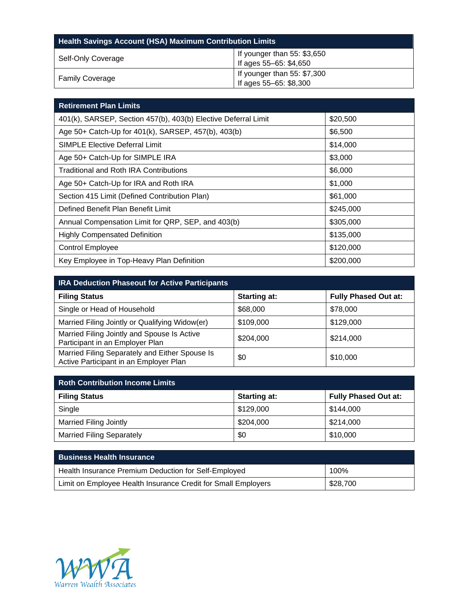| <b>Health Savings Account (HSA) Maximum Contribution Limits</b> |                                                       |  |
|-----------------------------------------------------------------|-------------------------------------------------------|--|
| Self-Only Coverage                                              | If younger than 55: \$3,650<br>If ages 55-65: \$4,650 |  |
| <b>Family Coverage</b>                                          | If younger than 55: \$7,300<br>If ages 55-65: \$8,300 |  |

| <b>Retirement Plan Limits</b>                                  |           |
|----------------------------------------------------------------|-----------|
| 401(k), SARSEP, Section 457(b), 403(b) Elective Deferral Limit | \$20,500  |
| Age 50+ Catch-Up for 401(k), SARSEP, 457(b), 403(b)            | \$6,500   |
| <b>SIMPLE Elective Deferral Limit</b>                          | \$14,000  |
| Age 50+ Catch-Up for SIMPLE IRA                                | \$3,000   |
| Traditional and Roth IRA Contributions                         | \$6,000   |
| Age 50+ Catch-Up for IRA and Roth IRA                          | \$1,000   |
| Section 415 Limit (Defined Contribution Plan)                  | \$61,000  |
| Defined Benefit Plan Benefit Limit                             | \$245,000 |
| Annual Compensation Limit for QRP, SEP, and 403(b)             | \$305,000 |
| <b>Highly Compensated Definition</b>                           | \$135,000 |
| <b>Control Employee</b>                                        | \$120,000 |
| Key Employee in Top-Heavy Plan Definition                      | \$200,000 |

| <b>IRA Deduction Phaseout for Active Participants</b>                                    |                     |                             |
|------------------------------------------------------------------------------------------|---------------------|-----------------------------|
| <b>Filing Status</b>                                                                     | <b>Starting at:</b> | <b>Fully Phased Out at:</b> |
| Single or Head of Household                                                              | \$68,000            | \$78,000                    |
| Married Filing Jointly or Qualifying Widow(er)                                           | \$109,000           | \$129,000                   |
| Married Filing Jointly and Spouse Is Active<br>Participant in an Employer Plan           | \$204,000           | \$214,000                   |
| Married Filing Separately and Either Spouse Is<br>Active Participant in an Employer Plan | \$0                 | \$10,000                    |

| <b>Roth Contribution Income Limits</b> |                     |                             |
|----------------------------------------|---------------------|-----------------------------|
| <b>Filing Status</b>                   | <b>Starting at:</b> | <b>Fully Phased Out at:</b> |
| Single                                 | \$129,000           | \$144,000                   |
| <b>Married Filing Jointly</b>          | \$204,000           | \$214,000                   |
| <b>Married Filing Separately</b>       | \$0                 | \$10,000                    |

| <b>Business Health Insurance</b>                              |          |
|---------------------------------------------------------------|----------|
| Health Insurance Premium Deduction for Self-Employed          | 100%     |
| Limit on Employee Health Insurance Credit for Small Employers | \$28,700 |

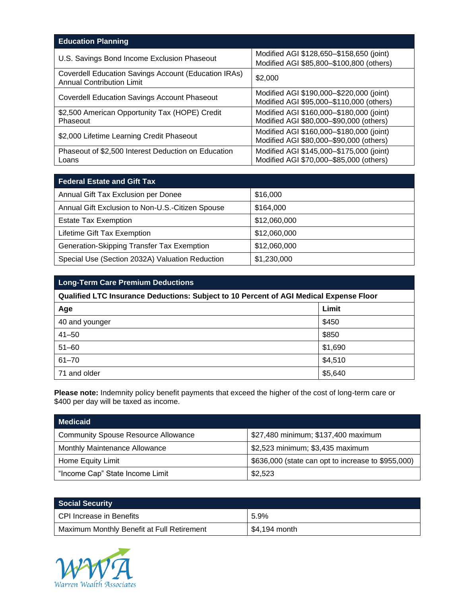| <b>Education Planning</b>                                                                |                                                                                      |
|------------------------------------------------------------------------------------------|--------------------------------------------------------------------------------------|
| U.S. Savings Bond Income Exclusion Phaseout                                              | Modified AGI \$128,650-\$158,650 (joint)<br>Modified AGI \$85,800-\$100,800 (others) |
| Coverdell Education Savings Account (Education IRAs)<br><b>Annual Contribution Limit</b> | \$2,000                                                                              |
| <b>Coverdell Education Savings Account Phaseout</b>                                      | Modified AGI \$190,000-\$220,000 (joint)<br>Modified AGI \$95,000-\$110,000 (others) |
| \$2,500 American Opportunity Tax (HOPE) Credit<br>Phaseout                               | Modified AGI \$160,000-\$180,000 (joint)<br>Modified AGI \$80,000-\$90,000 (others)  |
| \$2,000 Lifetime Learning Credit Phaseout                                                | Modified AGI \$160,000-\$180,000 (joint)<br>Modified AGI \$80,000-\$90,000 (others)  |
| Phaseout of \$2,500 Interest Deduction on Education<br>Loans                             | Modified AGI \$145,000-\$175,000 (joint)<br>Modified AGI \$70,000-\$85,000 (others)  |

| <b>Federal Estate and Gift Tax</b>               |              |
|--------------------------------------------------|--------------|
| Annual Gift Tax Exclusion per Donee              | \$16,000     |
| Annual Gift Exclusion to Non-U.S.-Citizen Spouse | \$164,000    |
| <b>Estate Tax Exemption</b>                      | \$12,060,000 |
| Lifetime Gift Tax Exemption                      | \$12,060,000 |
| Generation-Skipping Transfer Tax Exemption       | \$12,060,000 |
| Special Use (Section 2032A) Valuation Reduction  | \$1,230,000  |

| <b>Long-Term Care Premium Deductions</b>                                               |         |  |  |
|----------------------------------------------------------------------------------------|---------|--|--|
| Qualified LTC Insurance Deductions: Subject to 10 Percent of AGI Medical Expense Floor |         |  |  |
| Age                                                                                    | Limit   |  |  |
| 40 and younger                                                                         | \$450   |  |  |
| $41 - 50$                                                                              | \$850   |  |  |
| $51 - 60$                                                                              | \$1,690 |  |  |
| $61 - 70$                                                                              | \$4,510 |  |  |
| 71 and older                                                                           | \$5,640 |  |  |

**Please note:** Indemnity policy benefit payments that exceed the higher of the cost of long-term care or \$400 per day will be taxed as income.

| <b>Medicaid</b>                            |                                                    |
|--------------------------------------------|----------------------------------------------------|
| <b>Community Spouse Resource Allowance</b> | \$27,480 minimum; \$137,400 maximum                |
| <b>Monthly Maintenance Allowance</b>       | \$2,523 minimum; \$3,435 maximum                   |
| Home Equity Limit                          | \$636,000 (state can opt to increase to \$955,000) |
| "Income Cap" State Income Limit            | \$2,523                                            |

| <b>Social Security</b>                     |               |
|--------------------------------------------|---------------|
| l CPI Increase in Benefits                 | 5.9%          |
| Maximum Monthly Benefit at Full Retirement | \$4,194 month |

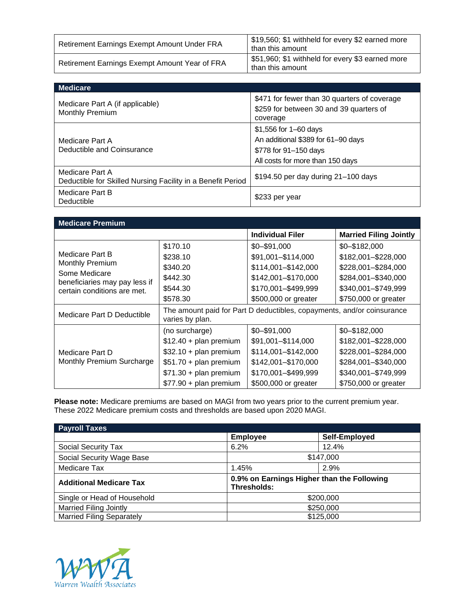| Retirement Earnings Exempt Amount Under FRA   | \$19,560; \$1 withheld for every \$2 earned more<br>than this amount |
|-----------------------------------------------|----------------------------------------------------------------------|
| Retirement Earnings Exempt Amount Year of FRA | \$51,960; \$1 withheld for every \$3 earned more<br>than this amount |

| <b>Medicare</b>                                                                |                                                                                                                          |
|--------------------------------------------------------------------------------|--------------------------------------------------------------------------------------------------------------------------|
| Medicare Part A (if applicable)<br>Monthly Premium                             | \$471 for fewer than 30 quarters of coverage<br>\$259 for between 30 and 39 quarters of<br>coverage                      |
| Medicare Part A<br>Deductible and Coinsurance                                  | \$1,556 for 1–60 days<br>An additional \$389 for 61-90 days<br>\$778 for 91–150 days<br>All costs for more than 150 days |
| Medicare Part A<br>Deductible for Skilled Nursing Facility in a Benefit Period | \$194.50 per day during 21-100 days                                                                                      |
| Medicare Part B<br>Deductible                                                  | \$233 per year                                                                                                           |

| <b>Medicare Premium</b>                                                       |                                                                                           |                         |                               |
|-------------------------------------------------------------------------------|-------------------------------------------------------------------------------------------|-------------------------|-------------------------------|
|                                                                               |                                                                                           | <b>Individual Filer</b> | <b>Married Filing Jointly</b> |
| Medicare Part B                                                               | \$170.10                                                                                  | $$0 - $91,000$          | $$0 - $182,000$               |
|                                                                               | \$238.10                                                                                  | \$91,001-\$114,000      | \$182,001-\$228,000           |
| <b>Monthly Premium</b>                                                        | \$340.20                                                                                  | \$114,001-\$142,000     | \$228,001-\$284,000           |
| Some Medicare<br>beneficiaries may pay less if<br>certain conditions are met. | \$442.30                                                                                  | \$142,001-\$170,000     | \$284,001-\$340,000           |
|                                                                               | \$544.30                                                                                  | \$170,001-\$499,999     | \$340,001-\$749,999           |
|                                                                               | \$578.30                                                                                  | \$500,000 or greater    | \$750,000 or greater          |
| Medicare Part D Deductible                                                    | The amount paid for Part D deductibles, copayments, and/or coinsurance<br>varies by plan. |                         |                               |
| Medicare Part D<br>Monthly Premium Surcharge                                  | (no surcharge)                                                                            | $$0 - $91,000$          | $$0 - $182,000$               |
|                                                                               | $$12.40 + plan premium$                                                                   | \$91,001-\$114,000      | \$182,001-\$228,000           |
|                                                                               | $$32.10 + plan premium$                                                                   | \$114,001-\$142,000     | \$228,001-\$284,000           |
|                                                                               | $$51.70 + plan premium$                                                                   | \$142,001-\$170,000     | \$284,001-\$340,000           |
|                                                                               | $$71.30 + plan premium$                                                                   | \$170,001-\$499,999     | \$340,001-\$749,999           |
|                                                                               | $$77.90 + plan premium$                                                                   | \$500,000 or greater    | \$750,000 or greater          |

**Please note:** Medicare premiums are based on MAGI from two years prior to the current premium year. These 2022 Medicare premium costs and thresholds are based upon 2020 MAGI.

| <b>Payroll Taxes</b>             |                                                           |               |  |
|----------------------------------|-----------------------------------------------------------|---------------|--|
|                                  | <b>Employee</b>                                           | Self-Employed |  |
| <b>Social Security Tax</b>       | 6.2%                                                      | 12.4%         |  |
| Social Security Wage Base        | \$147,000                                                 |               |  |
| Medicare Tax                     | 1.45%                                                     | 2.9%          |  |
| <b>Additional Medicare Tax</b>   | 0.9% on Earnings Higher than the Following<br>Thresholds: |               |  |
| Single or Head of Household      | \$200,000                                                 |               |  |
| <b>Married Filing Jointly</b>    | \$250,000                                                 |               |  |
| <b>Married Filing Separately</b> | \$125,000                                                 |               |  |